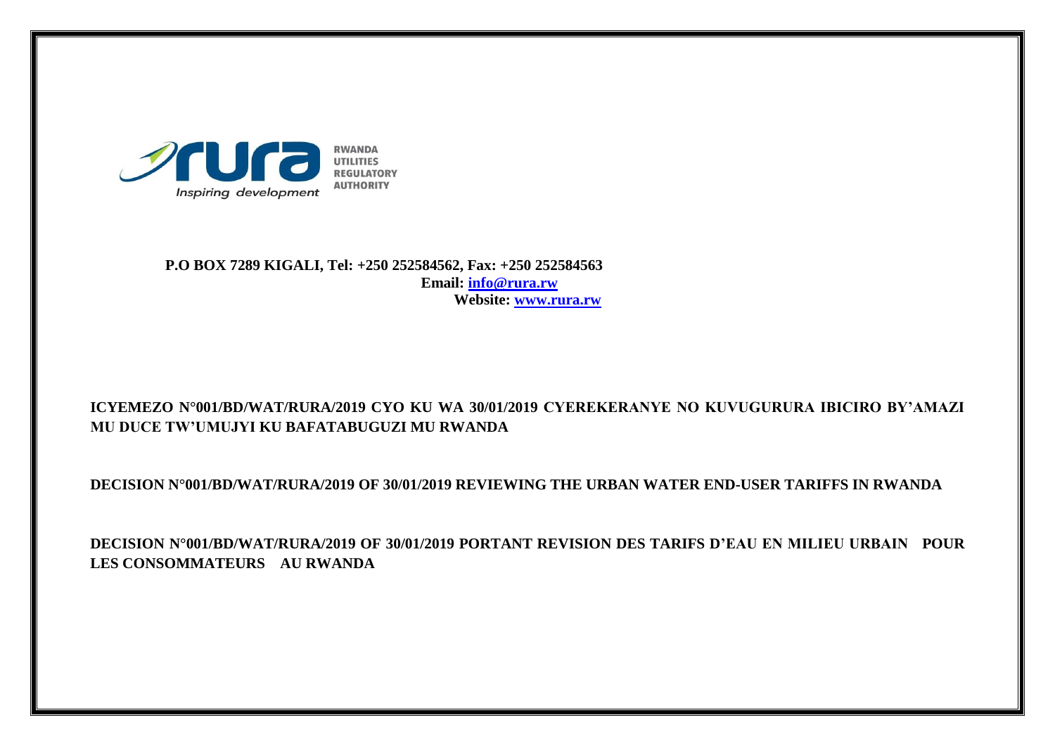

 **P.O BOX 7289 KIGALI, Tel: +250 252584562, Fax: +250 252584563 Email: [info@rura.rw](mailto:info@rura.rw) Website: [www.rura.rw](http://www.rura.rw/)**

# **ICYEMEZO N°001/BD/WAT/RURA/2019 CYO KU WA 30/01/2019 CYEREKERANYE NO KUVUGURURA IBICIRO BY'AMAZI MU DUCE TW'UMUJYI KU BAFATABUGUZI MU RWANDA**

**DECISION N°001/BD/WAT/RURA/2019 OF 30/01/2019 REVIEWING THE URBAN WATER END-USER TARIFFS IN RWANDA** 

**DECISION N°001/BD/WAT/RURA/2019 OF 30/01/2019 PORTANT REVISION DES TARIFS D'EAU EN MILIEU URBAIN POUR LES CONSOMMATEURS AU RWANDA**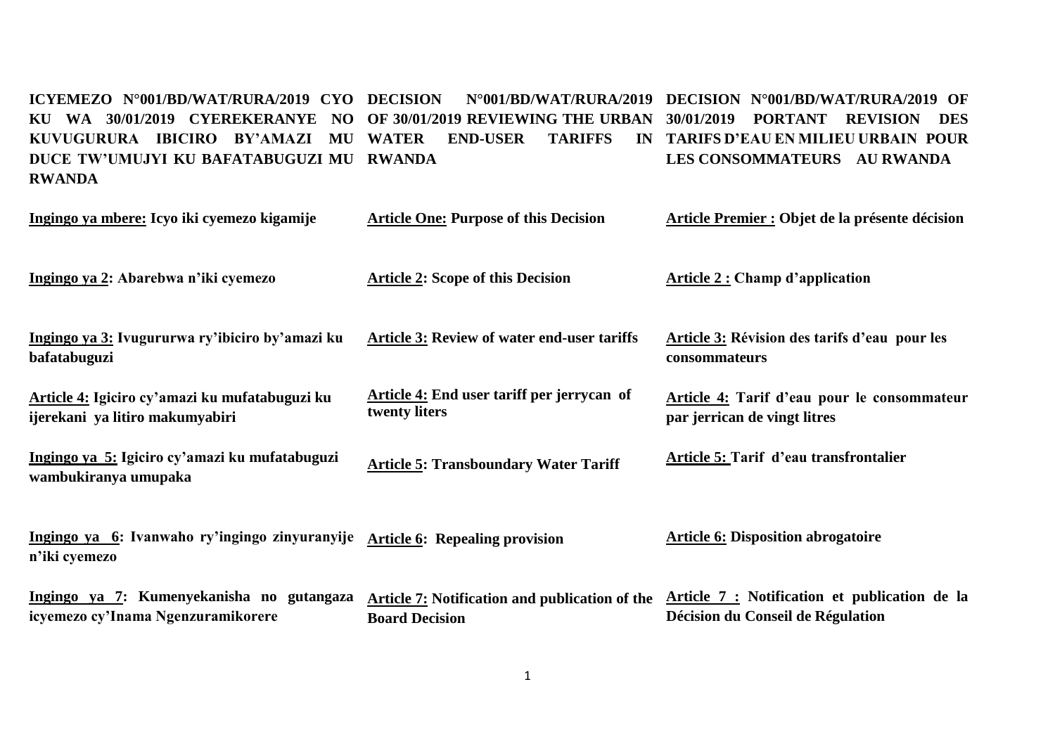#### **ICYEMEZO N°001/BD/WAT/RURA/2019 CYO DECISION N°001/BD/WAT/RURA/2019 DECISION N°001/BD/WAT/RURA/2019 OF KU WA 30/01/2019 CYEREKERANYE NO OF 30/01/2019 REVIEWING THE URBAN 30/01/2019 PORTANT REVISION DES KUVUGURURA IBICIRO BY'AMAZI MU WATER END-USER TARIFFS IN TARIFS D'EAU EN MILIEU URBAIN POUR DUCE TW'UMUJYI KU BAFATABUGUZI MU RWANDA RWANDA LES CONSOMMATEURS AU RWANDA**

| Ingingo ya mbere: Icyo iki cyemezo kigamije                                       | <b>Article One: Purpose of this Decision</b>                            | Article Premier : Objet de la présente décision                                    |
|-----------------------------------------------------------------------------------|-------------------------------------------------------------------------|------------------------------------------------------------------------------------|
| Ingingo ya 2: Abarebwa n'iki cyemezo                                              | <b>Article 2: Scope of this Decision</b>                                | <b>Article 2: Champ d'application</b>                                              |
| Ingingo ya 3: Ivugururwa ry'ibiciro by'amazi ku<br>bafatabuguzi                   | Article 3: Review of water end-user tariffs                             | <b>Article 3: Révision des tarifs d'eau pour les</b><br>consommateurs              |
| Article 4: Igiciro cy'amazi ku mufatabuguzi ku<br>ijerekani ya litiro makumyabiri | <b>Article 4:</b> End user tariff per jerrycan of<br>twenty liters      | Article 4: Tarif d'eau pour le consommateur<br>par jerrican de vingt litres        |
| Ingingo ya 5: Igiciro cy'amazi ku mufatabuguzi<br>wambukiranya umupaka            | <b>Article 5: Transboundary Water Tariff</b>                            | <b>Article 5: Tarif d'eau transfrontalier</b>                                      |
| Ingingo ya 6: Ivanwaho ry'ingingo zinyuranyije<br>n'iki cyemezo                   | <b>Article 6: Repealing provision</b>                                   | <b>Article 6: Disposition abrogatoire</b>                                          |
| Ingingo ya 7: Kumenyekanisha no gutangaza<br>icyemezo cy'Inama Ngenzuramikorere   | Article 7: Notification and publication of the<br><b>Board Decision</b> | Article 7 : Notification et publication de la<br>Décision du Conseil de Régulation |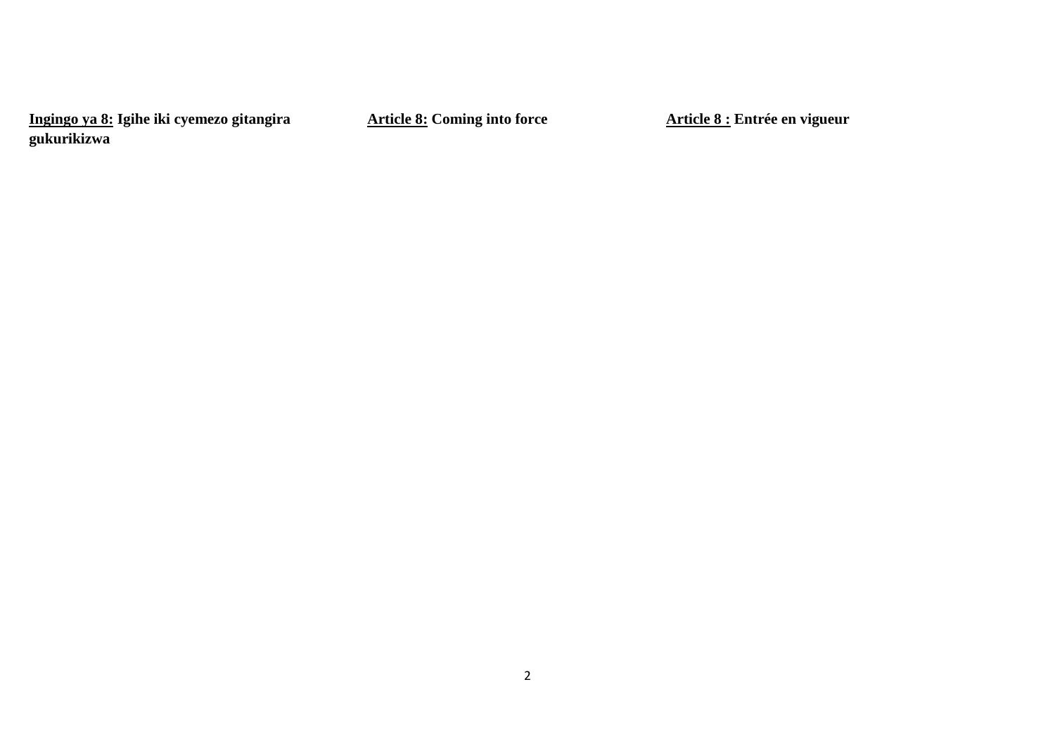**Ingingo ya 8: Igihe iki cyemezo gitangira gukurikizwa** 

**Article 8: Coming into force** 

**Article 8 : Entrée en vigueur**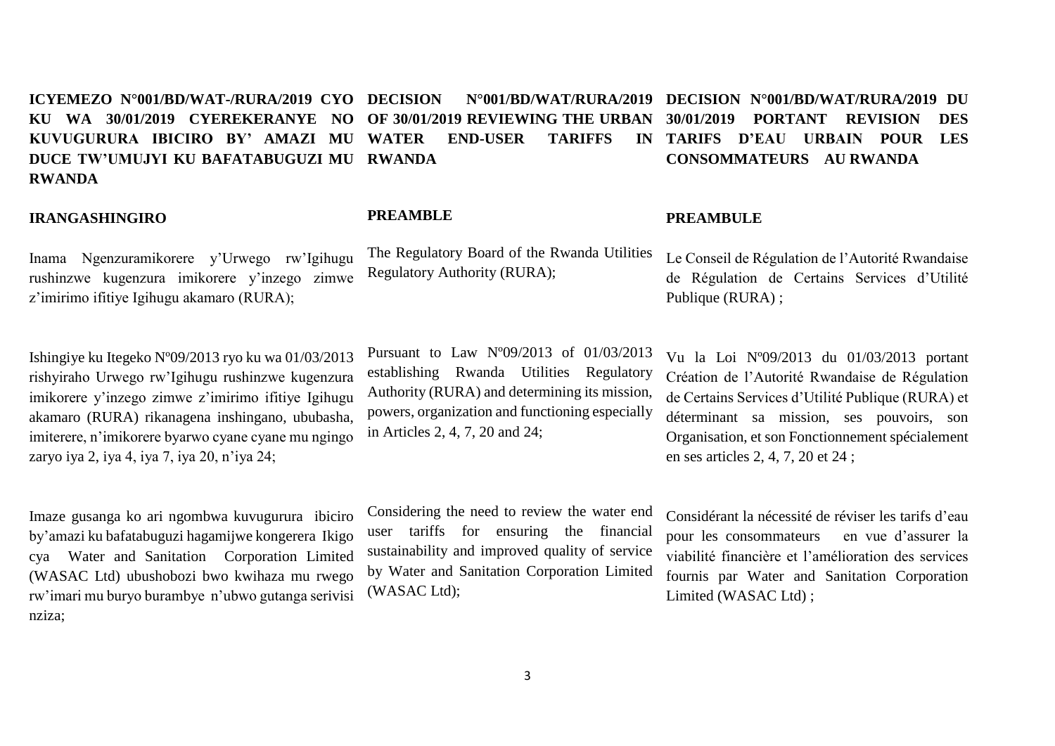#### **ICYEMEZO N°001/BD/WAT-/RURA/2019 CYO KU WA 30/01/2019 CYEREKERANYE NO KUVUGURURA IBICIRO BY' AMAZI MU DUCE TW'UMUJYI KU BAFATABUGUZI MU RWANDA RWANDA DECISION N°001/BD/WAT/RURA/2019 DECISION N°001/BD/WAT/RURA/2019 DU OF 30/01/2019 REVIEWING THE URBAN WATER END-USER TARIFFS 30/01/2019 PORTANT REVISION DES TARIFS D'EAU URBAIN POUR LES CONSOMMATEURS AU RWANDA**

**PREAMBLE** 

#### **IRANGASHINGIRO**

Inama Ngenzuramikorere y'Urwego rw'Igihugu rushinzwe kugenzura imikorere y'inzego zimwe z'imirimo ifitiye Igihugu akamaro (RURA);

Ishingiye ku Itegeko Nº09/2013 ryo ku wa 01/03/2013 rishyiraho Urwego rw'Igihugu rushinzwe kugenzura imikorere y'inzego zimwe z'imirimo ifitiye Igihugu akamaro (RURA) rikanagena inshingano, ububasha, imiterere, n'imikorere byarwo cyane cyane mu ngingo zaryo iya 2, iya 4, iya 7, iya 20, n'iya 24;

Imaze gusanga ko ari ngombwa kuvugurura ibiciro by'amazi ku bafatabuguzi hagamijwe kongerera Ikigo cya Water and Sanitation Corporation Limited (WASAC Ltd) ubushobozi bwo kwihaza mu rwego rw'imari mu buryo burambye n'ubwo gutanga serivisi nziza;

Pursuant to Law Nº09/2013 of 01/03/2013 establishing Rwanda Utilities Regulatory Authority (RURA) and determining its mission,

powers, organization and functioning especially

The Regulatory Board of the Rwanda Utilities

Regulatory Authority (RURA);

in Articles 2, 4, 7, 20 and 24;

Considering the need to review the water end user tariffs for ensuring the financial sustainability and improved quality of service by Water and Sanitation Corporation Limited (WASAC Ltd);

#### **PREAMBULE**

Le Conseil de Régulation de l'Autorité Rwandaise de Régulation de Certains Services d'Utilité Publique (RURA) ;

Vu la Loi Nº09/2013 du 01/03/2013 portant Création de l'Autorité Rwandaise de Régulation de Certains Services d'Utilité Publique (RURA) et déterminant sa mission, ses pouvoirs, son Organisation, et son Fonctionnement spécialement en ses articles 2, 4, 7, 20 et 24 ;

Considérant la nécessité de réviser les tarifs d'eau pour les consommateurs en vue d'assurer la viabilité financière et l'amélioration des services fournis par Water and Sanitation Corporation Limited (WASAC Ltd) ;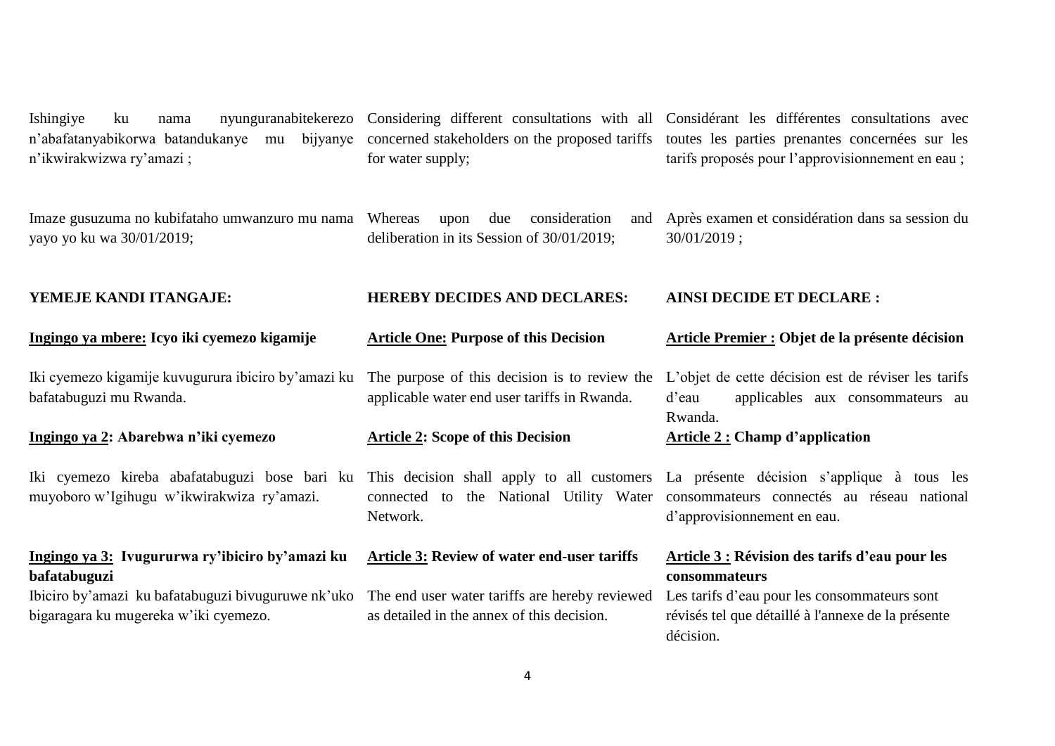n'abafatanyabikorwa batandukanye mu bijyanye concerned stakeholders on the proposed tariffs toutes les parties prenantes concernées sur les n'ikwirakwizwa ry'amazi ;

Imaze gusuzuma no kubifataho umwanzuro mu nama yayo yo ku wa 30/01/2019;

for water supply;

upon due consideration deliberation in its Session of 30/01/2019;

Ishingiye ku nama nyunguranabitekerezo Considering different consultations with all Considérant les différentes consultations avec tarifs proposés pour l'approvisionnement en eau ;

> Après examen et considération dans sa session du 30/01/2019 ;

### **YEMEJE KANDI ITANGAJE:**

**Ingingo ya mbere: Icyo iki cyemezo kigamije** 

Iki cyemezo kigamije kuvugurura ibiciro by'amazi ku bafatabuguzi mu Rwanda.

**Ingingo ya 2: Abarebwa n'iki cyemezo** 

Iki cyemezo kireba abafatabuguzi bose bari ku muyoboro w'Igihugu w'ikwirakwiza ry'amazi.

### **Ingingo ya 3: Ivugururwa ry'ibiciro by'amazi ku bafatabuguzi**

Ibiciro by'amazi ku bafatabuguzi bivuguruwe nk'uko bigaragara ku mugereka w'iki cyemezo.

#### **Article One: Purpose of this Decision**

**HEREBY DECIDES AND DECLARES:**

applicable water end user tariffs in Rwanda.

#### **Article 2: Scope of this Decision**

Network.

#### **Article 3: Review of water end-user tariffs**

The end user water tariffs are hereby reviewed as detailed in the annex of this decision.

## **AINSI DECIDE ET DECLARE :**

#### **Article Premier : Objet de la présente décision**

The purpose of this decision is to review the L'objet de cette décision est de réviser les tarifs d'eau applicables aux consommateurs au Rwanda.

#### **Article 2 : Champ d'application**

This decision shall apply to all customers La présente décision s'applique à tous les connected to the National Utility Water consommateurs connectés au réseau national d'approvisionnement en eau.

# **Article 3 : Révision des tarifs d'eau pour les consommateurs**

Les tarifs d'eau pour les consommateurs sont révisés tel que détaillé à l'annexe de la présente décision.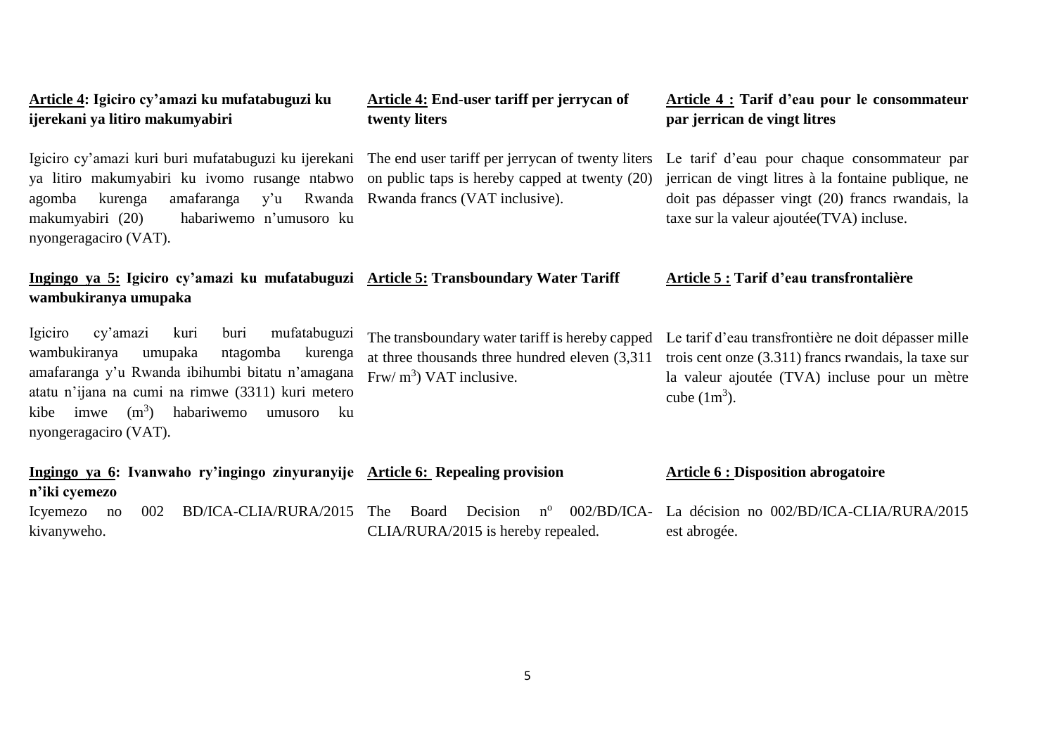| ijerekani ya litiro makumyabiri                                                                                                                                                                                                                                                                                   | twenty liters                                                                                                                      | par jerrican de vingt litres                                                                                                                                                                        |
|-------------------------------------------------------------------------------------------------------------------------------------------------------------------------------------------------------------------------------------------------------------------------------------------------------------------|------------------------------------------------------------------------------------------------------------------------------------|-----------------------------------------------------------------------------------------------------------------------------------------------------------------------------------------------------|
| Igiciro cy'amazi kuri buri mufatabuguzi ku ijerekani The end user tariff per jerrycan of twenty liters<br>ya litiro makumyabiri ku ivomo rusange ntabwo on public taps is hereby capped at twenty (20)<br>amafaranga<br>agomba<br>kurenga<br>habariwemo n'umusoro ku<br>makumyabiri (20)<br>nyongeragaciro (VAT). | y'u Rwanda Rwanda francs (VAT inclusive).                                                                                          | Le tarif d'eau pour chaque consommateur par<br>jerrican de vingt litres à la fontaine publique, ne<br>doit pas dépasser vingt (20) francs rwandais, la<br>taxe sur la valeur ajoutée (TVA) incluse. |
| Ingingo ya 5: Igiciro cy'amazi ku mufatabuguzi Article 5: Transboundary Water Tariff<br>wambukiranya umupaka                                                                                                                                                                                                      |                                                                                                                                    | Article 5 : Tarif d'eau transfrontalière                                                                                                                                                            |
| mufatabuguzi<br>cy'amazi<br>Igiciro<br>kuri<br>buri<br>wambukiranya<br>umupaka<br>ntagomba<br>kurenga<br>amafaranga y'u Rwanda ibihumbi bitatu n'amagana<br>atatu n'ijana na cumi na rimwe (3311) kuri metero<br>$(m^3)$<br>habariwemo<br>kibe<br>imwe<br>ku<br>umusoro<br>nyongeragaciro (VAT).                  | The transboundary water tariff is hereby capped<br>at three thousands three hundred eleven $(3,311)$<br>Frw/ $m3$ ) VAT inclusive. | Le tarif d'eau transfrontière ne doit dépasser mille<br>trois cent onze (3.311) francs rwandais, la taxe sur<br>la valeur ajoutée (TVA) incluse pour un mètre<br>cube $(1m^3)$ .                    |
| Ingingo ya 6: Ivanwaho ry'ingingo zinyuranyije Article 6: Repealing provision<br>n'iki cyemezo                                                                                                                                                                                                                    |                                                                                                                                    | <b>Article 6 : Disposition abrogatoire</b>                                                                                                                                                          |
| BD/ICA-CLIA/RURA/2015<br>002<br>Icyemezo no<br>kivanyweho.                                                                                                                                                                                                                                                        | $002/BD/ICA-$<br>The<br>Board<br>Decision<br>$n^{\rm o}$<br>CLIA/RURA/2015 is hereby repealed.                                     | La décision no 002/BD/ICA-CLIA/RURA/2015<br>est abrogée.                                                                                                                                            |

**Article 4: End-user tariff per jerrycan of**

**Article 4 : Tarif d'eau pour le consommateur** 

**Article 4: Igiciro cy'amazi ku mufatabuguzi ku**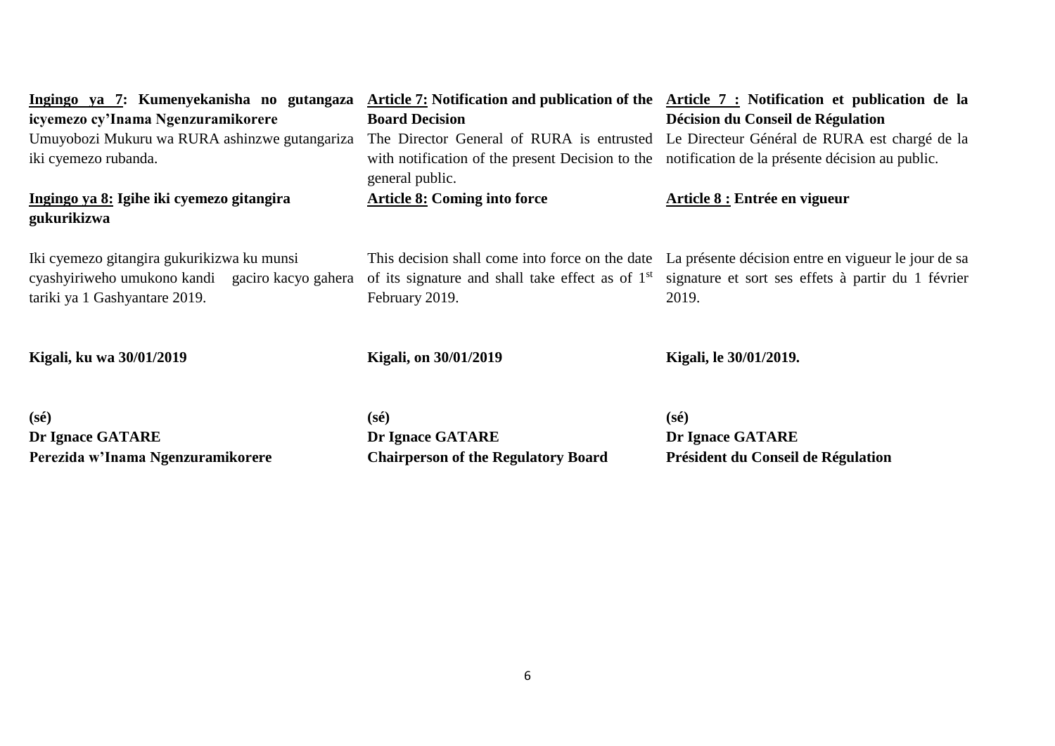| Ingingo ya 7: Kumenyekanisha no gutangaza                                                                                      |                                                                                                                                   | Article 7: Notification and publication of the Article 7: Notification et publication de la                        |
|--------------------------------------------------------------------------------------------------------------------------------|-----------------------------------------------------------------------------------------------------------------------------------|--------------------------------------------------------------------------------------------------------------------|
| icyemezo cy'Inama Ngenzuramikorere                                                                                             | <b>Board Decision</b>                                                                                                             | Décision du Conseil de Régulation                                                                                  |
| Umuyobozi Mukuru wa RURA ashinzwe gutangariza                                                                                  |                                                                                                                                   | The Director General of RURA is entrusted Le Directeur Général de RURA est chargé de la                            |
| iki cyemezo rubanda.                                                                                                           | with notification of the present Decision to the<br>general public.                                                               | notification de la présente décision au public.                                                                    |
| Ingingo ya 8: Igihe iki cyemezo gitangira<br>gukurikizwa                                                                       | <b>Article 8: Coming into force</b>                                                                                               | Article 8 : Entrée en vigueur                                                                                      |
| Iki cyemezo gitangira gukurikizwa ku munsi<br>cyashyiriweho umukono kandi gaciro kacyo gahera<br>tariki ya 1 Gashyantare 2019. | This decision shall come into force on the date<br>of its signature and shall take effect as of 1 <sup>st</sup><br>February 2019. | La présente décision entre en vigueur le jour de sa<br>signature et sort ses effets à partir du 1 février<br>2019. |
| Kigali, ku wa 30/01/2019                                                                                                       | <b>Kigali, on 30/01/2019</b>                                                                                                      | Kigali, le 30/01/2019.                                                                                             |
| $(s\acute{e})$                                                                                                                 | $(s\acute{e})$                                                                                                                    | $(s\acute{e})$                                                                                                     |
| $\mathbf{D}_{\mathbf{w}}$ Language $\mathbf{C}$ A T A D $\mathbf{D}_{\mathbf{w}}$                                              | $\mathbf{D}_{\mathbf{m}}$ Lenges $\mathbf{C}$ A T A D $\mathbf{D}_{\mathbf{r}}$                                                   | $\mathbf{D}_{\mathbf{m}}$ Lenges $\mathbf{C}$ A T A D $\mathbf{D}_{\mathbf{r}}$                                    |

**Dr Ignace GATARE Perezida w'Inama Ngenzuramikorere**  **Dr Ignace GATARE Chairperson of the Regulatory Board** **Dr Ignace GATARE Président du Conseil de Régulation**